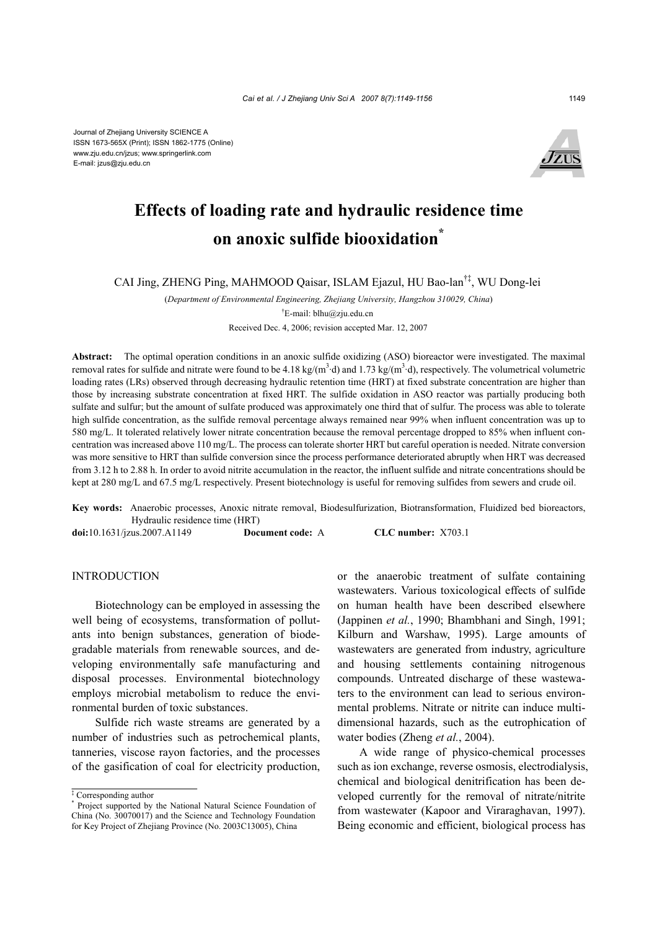Journal of Zhejiang University SCIENCE A ISSN 1673-565X (Print); ISSN 1862-1775 (Online) www.zju.edu.cn/jzus; www.springerlink.com E-mail: jzus@zju.edu.cn



# **Effects of loading rate and hydraulic residence time on anoxic sulfide biooxidation\***

CAI Jing, ZHENG Ping, MAHMOOD Qaisar, ISLAM Ejazul, HU Bao-lan†‡, WU Dong-lei

(*Department of Environmental Engineering, Zhejiang University, Hangzhou 310029, China*) † E-mail: blhu@zju.edu.cn

Received Dec. 4, 2006; revision accepted Mar. 12, 2007

**Abstract:** The optimal operation conditions in an anoxic sulfide oxidizing (ASO) bioreactor were investigated. The maximal removal rates for sulfide and nitrate were found to be  $4.18 \text{ kg/(m}^3 \text{ d})$  and  $1.73 \text{ kg/(m}^3 \text{ d})$ , respectively. The volumetrical volumetric loading rates (LRs) observed through decreasing hydraulic retention time (HRT) at fixed substrate concentration are higher than those by increasing substrate concentration at fixed HRT. The sulfide oxidation in ASO reactor was partially producing both sulfate and sulfur; but the amount of sulfate produced was approximately one third that of sulfur. The process was able to tolerate high sulfide concentration, as the sulfide removal percentage always remained near 99% when influent concentration was up to 580 mg/L. It tolerated relatively lower nitrate concentration because the removal percentage dropped to 85% when influent concentration was increased above 110 mg/L. The process can tolerate shorter HRT but careful operation is needed. Nitrate conversion was more sensitive to HRT than sulfide conversion since the process performance deteriorated abruptly when HRT was decreased from 3.12 h to 2.88 h. In order to avoid nitrite accumulation in the reactor, the influent sulfide and nitrate concentrations should be kept at 280 mg/L and 67.5 mg/L respectively. Present biotechnology is useful for removing sulfides from sewers and crude oil.

**Key words:** Anaerobic processes, Anoxic nitrate removal, Biodesulfurization, Biotransformation, Fluidized bed bioreactors, Hydraulic residence time (HRT) **doi:**10.1631/jzus.2007.A1149 **Document code:** A **CLC number:** X703.1

INTRODUCTION

Biotechnology can be employed in assessing the well being of ecosystems, transformation of pollutants into benign substances, generation of biodegradable materials from renewable sources, and developing environmentally safe manufacturing and disposal processes. Environmental biotechnology employs microbial metabolism to reduce the environmental burden of toxic substances.

Sulfide rich waste streams are generated by a number of industries such as petrochemical plants, tanneries, viscose rayon factories, and the processes of the gasification of coal for electricity production, or the anaerobic treatment of sulfate containing wastewaters. Various toxicological effects of sulfide on human health have been described elsewhere (Jappinen *et al.*, 1990; Bhambhani and Singh, 1991; Kilburn and Warshaw, 1995). Large amounts of wastewaters are generated from industry, agriculture and housing settlements containing nitrogenous compounds. Untreated discharge of these wastewaters to the environment can lead to serious environmental problems. Nitrate or nitrite can induce multidimensional hazards, such as the eutrophication of water bodies (Zheng *et al.*, 2004).

A wide range of physico-chemical processes such as ion exchange, reverse osmosis, electrodialysis, chemical and biological denitrification has been developed currently for the removal of nitrate/nitrite from wastewater (Kapoor and Viraraghavan, 1997). Being economic and efficient, biological process has

<sup>‡</sup> Corresponding author

<sup>\*</sup> Project supported by the National Natural Science Foundation of China (No. 30070017) and the Science and Technology Foundation for Key Project of Zhejiang Province (No. 2003C13005), China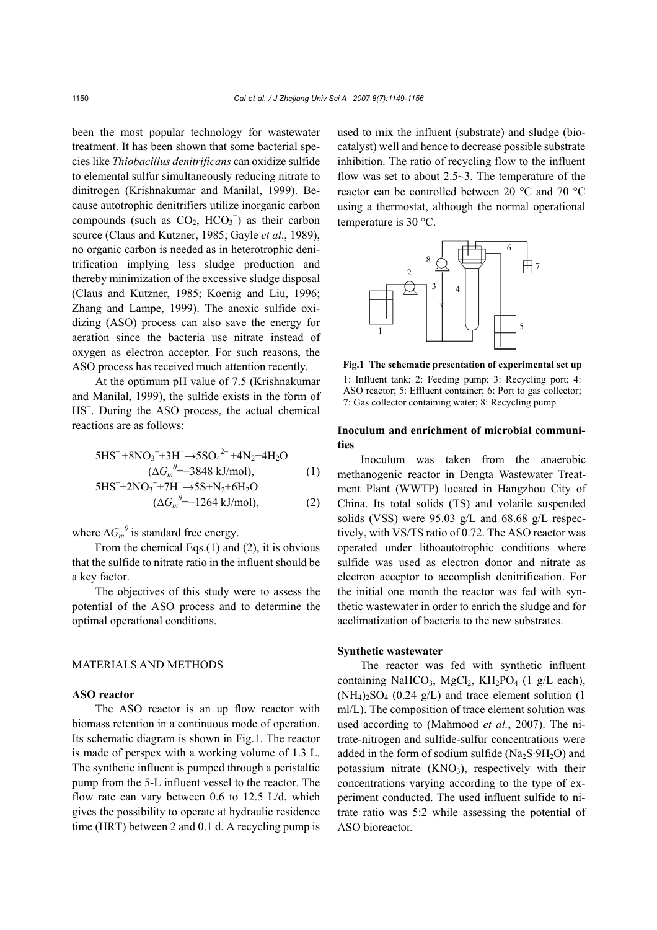been the most popular technology for wastewater treatment. It has been shown that some bacterial species like *Thiobacillus denitrificans* can oxidize sulfide to elemental sulfur simultaneously reducing nitrate to dinitrogen (Krishnakumar and Manilal, 1999). Because autotrophic denitrifiers utilize inorganic carbon compounds (such as  $CO<sub>2</sub>$ , HCO<sub>3</sub><sup>-</sup>) as their carbon source (Claus and Kutzner, 1985; Gayle *et al*., 1989), no organic carbon is needed as in heterotrophic denitrification implying less sludge production and thereby minimization of the excessive sludge disposal (Claus and Kutzner, 1985; Koenig and Liu, 1996; Zhang and Lampe, 1999). The anoxic sulfide oxidizing (ASO) process can also save the energy for aeration since the bacteria use nitrate instead of oxygen as electron acceptor. For such reasons, the ASO process has received much attention recently.

At the optimum pH value of 7.5 (Krishnakumar and Manilal, 1999), the sulfide exists in the form of HS<sup>-</sup>. During the ASO process, the actual chemical reactions are as follows:

$$
5HS^{-} + 8NO_3^{-} + 3H^{+} \rightarrow 5SO_4^{2-} + 4N_2 + 4H_2O
$$
  

$$
(\Delta G_m^{\theta} = -3848 \text{ kJ/mol}), \tag{1}
$$

$$
5HS^{-}+2NO_3^{-}+7H^{+}\rightarrow 5S+N_2+6H_2O
$$
  
( $\Delta G_m^{\theta}$ =-1264 kJ/mol), (2)

where  $\Delta G_m^{\theta}$  is standard free energy.

From the chemical Eqs.(1) and (2), it is obvious that the sulfide to nitrate ratio in the influent should be a key factor.

The objectives of this study were to assess the potential of the ASO process and to determine the optimal operational conditions.

# MATERIALS AND METHODS

# **ASO reactor**

The ASO reactor is an up flow reactor with biomass retention in a continuous mode of operation. Its schematic diagram is shown in Fig.1. The reactor is made of perspex with a working volume of 1.3 L. The synthetic influent is pumped through a peristaltic pump from the 5-L influent vessel to the reactor. The flow rate can vary between 0.6 to 12.5 L/d, which gives the possibility to operate at hydraulic residence time (HRT) between 2 and 0.1 d. A recycling pump is used to mix the influent (substrate) and sludge (biocatalyst) well and hence to decrease possible substrate inhibition. The ratio of recycling flow to the influent flow was set to about  $2.5 - 3$ . The temperature of the reactor can be controlled between 20 °C and 70 °C using a thermostat, although the normal operational temperature is 30 °C.



**Fig.1 The schematic presentation of experimental set up** 1: Influent tank; 2: Feeding pump; 3: Recycling port; 4: ASO reactor; 5: Effluent container; 6: Port to gas collector; 7: Gas collector containing water; 8: Recycling pump

## **Inoculum and enrichment of microbial communities**

Inoculum was taken from the anaerobic methanogenic reactor in Dengta Wastewater Treatment Plant (WWTP) located in Hangzhou City of China. Its total solids (TS) and volatile suspended solids (VSS) were 95.03 g/L and 68.68 g/L respectively, with VS/TS ratio of 0.72. The ASO reactor was operated under lithoautotrophic conditions where sulfide was used as electron donor and nitrate as electron acceptor to accomplish denitrification. For the initial one month the reactor was fed with synthetic wastewater in order to enrich the sludge and for acclimatization of bacteria to the new substrates.

## **Synthetic wastewater**

The reactor was fed with synthetic influent containing NaHCO<sub>3</sub>, MgCl<sub>2</sub>, KH<sub>2</sub>PO<sub>4</sub> (1 g/L each),  $(NH_4)_2SO_4$  (0.24 g/L) and trace element solution (1) ml/L). The composition of trace element solution was used according to (Mahmood *et al.*, 2007). The nitrate-nitrogen and sulfide-sulfur concentrations were added in the form of sodium sulfide  $(Na_2S.9H_2O)$  and potassium nitrate  $(KNO<sub>3</sub>)$ , respectively with their concentrations varying according to the type of experiment conducted. The used influent sulfide to nitrate ratio was 5:2 while assessing the potential of ASO bioreactor.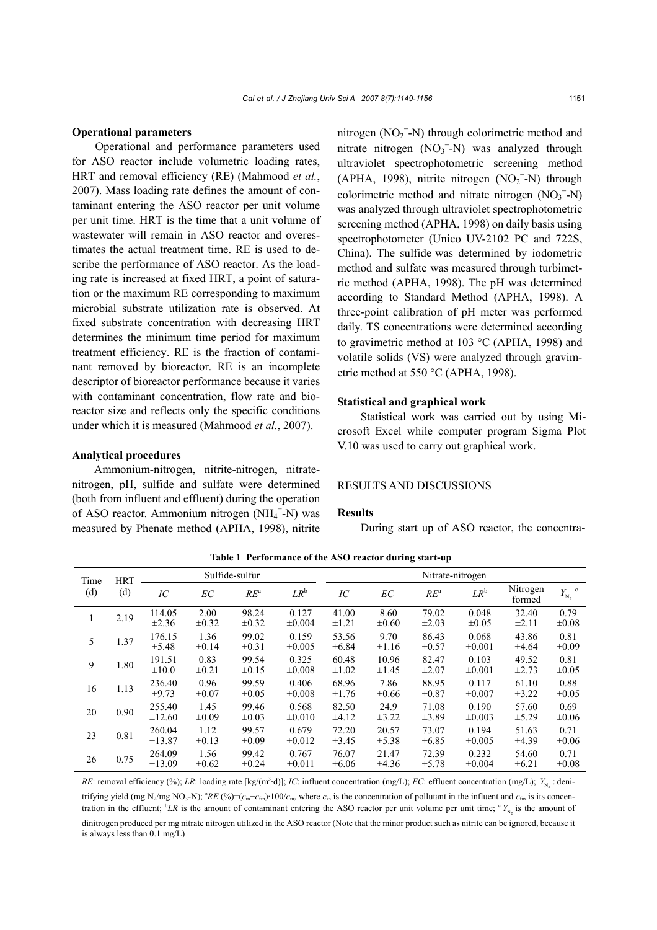#### **Operational parameters**

Operational and performance parameters used for ASO reactor include volumetric loading rates, HRT and removal efficiency (RE) (Mahmood *et al.*, 2007). Mass loading rate defines the amount of contaminant entering the ASO reactor per unit volume per unit time. HRT is the time that a unit volume of wastewater will remain in ASO reactor and overestimates the actual treatment time. RE is used to describe the performance of ASO reactor. As the loading rate is increased at fixed HRT, a point of saturation or the maximum RE corresponding to maximum microbial substrate utilization rate is observed. At fixed substrate concentration with decreasing HRT determines the minimum time period for maximum treatment efficiency. RE is the fraction of contaminant removed by bioreactor. RE is an incomplete descriptor of bioreactor performance because it varies with contaminant concentration, flow rate and bioreactor size and reflects only the specific conditions under which it is measured (Mahmood *et al.*, 2007).

#### **Analytical procedures**

Ammonium-nitrogen, nitrite-nitrogen, nitratenitrogen, pH, sulfide and sulfate were determined (both from influent and effluent) during the operation of ASO reactor. Ammonium nitrogen (NH<sub>4</sub><sup>+</sup>-N) was measured by Phenate method (APHA, 1998), nitrite

nitrogen  $(NO<sub>2</sub><sup>-</sup>-N)$  through colorimetric method and nitrate nitrogen  $(NO<sub>3</sub><sup>-</sup>-N)$  was analyzed through ultraviolet spectrophotometric screening method  $(APHA, 1998)$ , nitrite nitrogen  $(NO<sub>2</sub><sup>-</sup>-N)$  through colorimetric method and nitrate nitrogen  $(NO<sub>3</sub><sup>-</sup>-N)$ was analyzed through ultraviolet spectrophotometric screening method (APHA, 1998) on daily basis using spectrophotometer (Unico UV-2102 PC and 722S, China). The sulfide was determined by iodometric method and sulfate was measured through turbimetric method (APHA, 1998). The pH was determined according to Standard Method (APHA, 1998). A three-point calibration of pH meter was performed daily. TS concentrations were determined according to gravimetric method at 103 °C (APHA, 1998) and volatile solids (VS) were analyzed through gravimetric method at 550 °C (APHA, 1998).

#### **Statistical and graphical work**

Statistical work was carried out by using Microsoft Excel while computer program Sigma Plot V.10 was used to carry out graphical work.

## RESULTS AND DISCUSSIONS

### **Results**

During start up of ASO reactor, the concentra-

| Time<br>(d) | <b>HRT</b><br>(d) | Sulfide-sulfur        |                    |                     |                      | Nitrate-nitrogen    |                     |                     |                      |                     |                              |
|-------------|-------------------|-----------------------|--------------------|---------------------|----------------------|---------------------|---------------------|---------------------|----------------------|---------------------|------------------------------|
|             |                   | IC                    | EC                 | $RE^a$              | $LR^b$               | IC                  | EC                  | $RE^a$              | $LR^b$               | Nitrogen<br>formed  | $\mathbf c$<br>$Y_{\rm N_2}$ |
|             | 2.19              | 114.05<br>$\pm 2.36$  | 2.00<br>$\pm 0.32$ | 98.24<br>$\pm 0.32$ | 0.127<br>$\pm 0.004$ | 41.00<br>$\pm 1.21$ | 8.60<br>$\pm 0.60$  | 79.02<br>$\pm 2.03$ | 0.048<br>$\pm 0.05$  | 32.40<br>$\pm 2.11$ | 0.79<br>$\pm 0.08$           |
| 5           | 1.37              | 176.15<br>$\pm 5.48$  | 1.36<br>$\pm 0.14$ | 99.02<br>$\pm 0.31$ | 0.159<br>$\pm 0.005$ | 53.56<br>$\pm 6.84$ | 9.70<br>$\pm 1.16$  | 86.43<br>$\pm 0.57$ | 0.068<br>$\pm 0.001$ | 43.86<br>$\pm 4.64$ | 0.81<br>$\pm 0.09$           |
| 9           | 1.80              | 191.51<br>$\pm 10.0$  | 0.83<br>$\pm 0.21$ | 99.54<br>$\pm 0.15$ | 0.325<br>±0.008      | 60.48<br>$\pm 1.02$ | 10.96<br>$\pm 1.45$ | 82.47<br>$\pm 2.07$ | 0.103<br>$\pm 0.001$ | 49.52<br>$\pm 2.73$ | 0.81<br>$\pm 0.05$           |
| 16          | 1.13              | 236.40<br>$\pm 9.73$  | 0.96<br>$\pm 0.07$ | 99.59<br>$\pm 0.05$ | 0.406<br>$\pm 0.008$ | 68.96<br>$\pm 1.76$ | 7.86<br>$\pm 0.66$  | 88.95<br>$\pm 0.87$ | 0.117<br>$\pm 0.007$ | 61.10<br>$\pm 3.22$ | 0.88<br>$\pm 0.05$           |
| 20          | 0.90              | 255.40<br>$\pm 12.60$ | 1.45<br>$\pm 0.09$ | 99.46<br>$\pm 0.03$ | 0.568<br>$\pm 0.010$ | 82.50<br>±4.12      | 24.9<br>$\pm 3.22$  | 71.08<br>±3.89      | 0.190<br>$\pm 0.003$ | 57.60<br>$\pm$ 5.29 | 0.69<br>$\pm 0.06$           |
| 23          | 0.81              | 260.04<br>±13.87      | 1.12<br>$\pm 0.13$ | 99.57<br>$\pm 0.09$ | 0.679<br>$\pm 0.012$ | 72.20<br>$\pm 3.45$ | 20.57<br>$\pm$ 5.38 | 73.07<br>$\pm 6.85$ | 0.194<br>$\pm 0.005$ | 51.63<br>±4.39      | 0.71<br>$\pm 0.06$           |
| 26          | 0.75              | 264.09<br>±13.09      | 1.56<br>$\pm 0.62$ | 99.42<br>$\pm 0.24$ | 0.767<br>$\pm 0.011$ | 76.07<br>$\pm 6.06$ | 21.47<br>±4.36      | 72.39<br>±5.78      | 0.232<br>$\pm 0.004$ | 54.60<br>$\pm 6.21$ | 0.71<br>$\pm 0.08$           |

**Table 1 Performance of the ASO reactor during start-up**

*RE*: removal efficiency (%); *LR*: loading rate [kg/(m<sup>3</sup>·d)]; *IC*: influent concentration (mg/L); *EC*: effluent concentration (mg/L);  $Y_{N_2}$ : denitrifying yield (mg N<sub>2</sub>/mg NO<sub>3</sub>-N); <sup>a</sup>RE (%)=( $c_{\text{in}}-c_{\text{fin}}$ ) 100/ $c_{\text{in}}$ , where  $c_{\text{in}}$  is the concentration of pollutant in the influent and  $c_{\text{fin}}$  is its concentration in the effluent;  ${}^b L R$  is the amount of contaminant entering the ASO reactor per unit volume per unit time;  ${}^c Y_{N_2}$  is the amount of dinitrogen produced per mg nitrate nitrogen utilized in the ASO reactor (Note that the minor product such as nitrite can be ignored, because it is always less than 0.1 mg/L)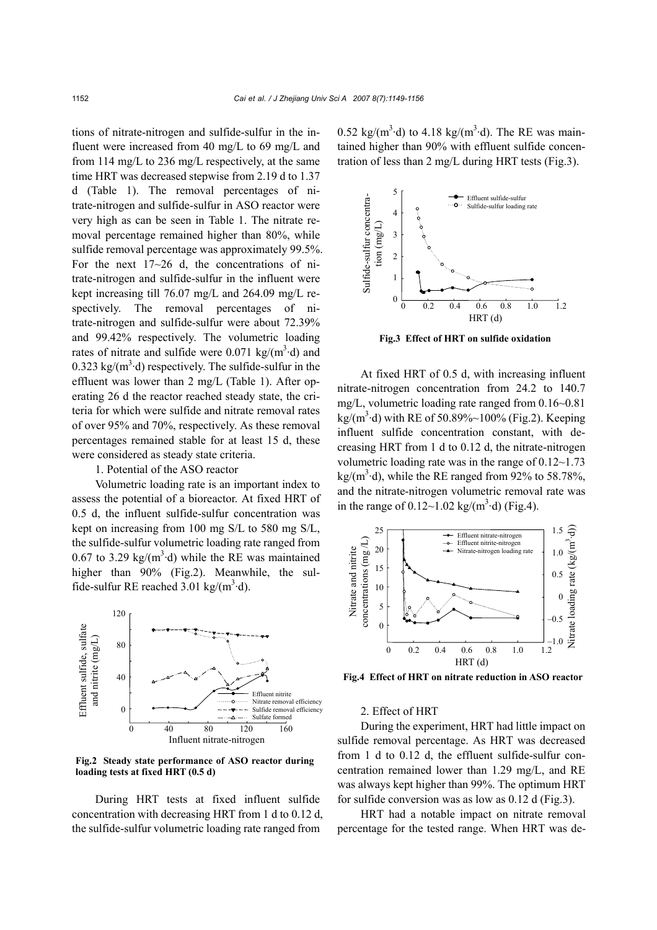tions of nitrate-nitrogen and sulfide-sulfur in the influent were increased from 40 mg/L to 69 mg/L and from 114 mg/L to 236 mg/L respectively, at the same time HRT was decreased stepwise from 2.19 d to 1.37 d (Table 1). The removal percentages of nitrate-nitrogen and sulfide-sulfur in ASO reactor were very high as can be seen in Table 1. The nitrate removal percentage remained higher than 80%, while sulfide removal percentage was approximately 99.5%. For the next  $17~26$  d, the concentrations of nitrate-nitrogen and sulfide-sulfur in the influent were kept increasing till 76.07 mg/L and 264.09 mg/L respectively. The removal percentages of nitrate-nitrogen and sulfide-sulfur were about 72.39% and 99.42% respectively. The volumetric loading rates of nitrate and sulfide were 0.071 kg/ $(m^3 \cdot d)$  and  $0.323 \text{ kg/(m}^3 \cdot d)$  respectively. The sulfide-sulfur in the effluent was lower than 2 mg/L (Table 1). After operating 26 d the reactor reached steady state, the criteria for which were sulfide and nitrate removal rates of over 95% and 70%, respectively. As these removal percentages remained stable for at least 15 d, these were considered as steady state criteria.

## 1. Potential of the ASO reactor

Volumetric loading rate is an important index to assess the potential of a bioreactor. At fixed HRT of 0.5 d, the influent sulfide-sulfur concentration was kept on increasing from 100 mg S/L to 580 mg S/L, the sulfide-sulfur volumetric loading rate ranged from 0.67 to 3.29 kg/( $m^3$ ·d) while the RE was maintained higher than 90% (Fig.2). Meanwhile, the sulfide-sulfur RE reached  $3.01 \text{ kg/(m}^3 \cdot \text{d})$ .



**Fig.2 Steady state performance of ASO reactor during loading tests at fixed HRT (0.5 d)** 

During HRT tests at fixed influent sulfide concentration with decreasing HRT from 1 d to 0.12 d, the sulfide-sulfur volumetric loading rate ranged from

0.52 kg/(m<sup>3</sup>·d) to 4.18 kg/(m<sup>3</sup>·d). The RE was maintained higher than 90% with effluent sulfide concentration of less than 2 mg/L during HRT tests (Fig.3).



**Fig.3 Effect of HRT on sulfide oxidation** 

At fixed HRT of 0.5 d, with increasing influent nitrate-nitrogen concentration from 24.2 to 140.7 mg/L, volumetric loading rate ranged from 0.16~0.81  $\text{kg/(m}^3 \cdot \text{d})$  with RE of 50.89%~100% (Fig.2). Keeping influent sulfide concentration constant, with decreasing HRT from 1 d to 0.12 d, the nitrate-nitrogen volumetric loading rate was in the range of  $0.12~1.73$  $\text{kg/(m}^3 \cdot \text{d})$ , while the RE ranged from 92% to 58.78%, and the nitrate-nitrogen volumetric removal rate was in the range of  $0.12 \sim 1.02 \text{ kg/(m}^3 \cdot \text{d)}$  (Fig.4).



**Fig.4 Effect of HRT on nitrate reduction in ASO reactor** 

#### 2. Effect of HRT

During the experiment, HRT had little impact on sulfide removal percentage. As HRT was decreased from 1 d to 0.12 d, the effluent sulfide-sulfur concentration remained lower than 1.29 mg/L, and RE was always kept higher than 99%. The optimum HRT for sulfide conversion was as low as 0.12 d (Fig.3).

HRT had a notable impact on nitrate removal percentage for the tested range. When HRT was de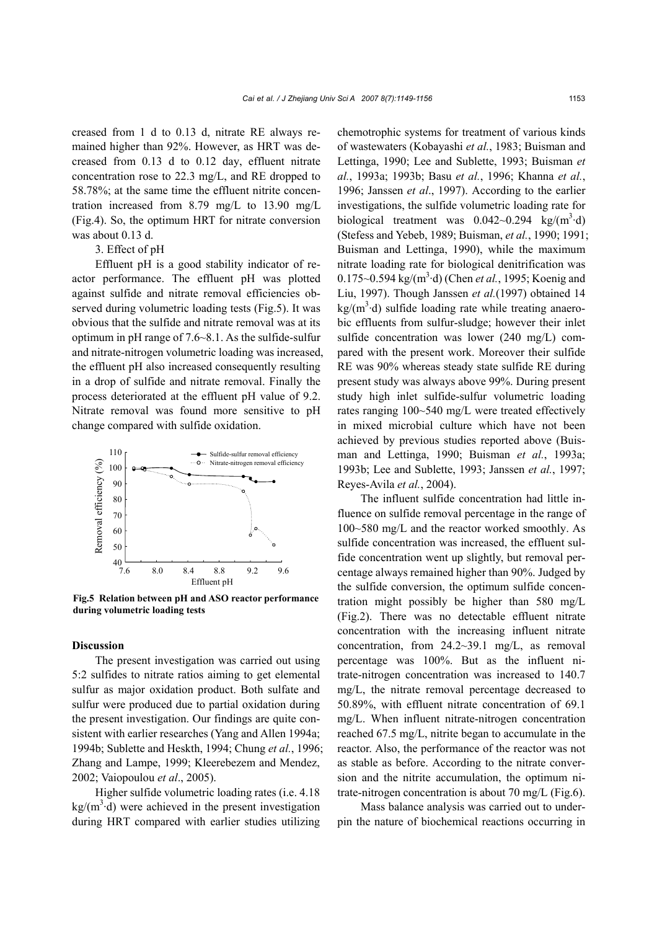creased from 1 d to 0.13 d, nitrate RE always remained higher than 92%. However, as HRT was decreased from 0.13 d to 0.12 day, effluent nitrate concentration rose to 22.3 mg/L, and RE dropped to 58.78%; at the same time the effluent nitrite concentration increased from 8.79 mg/L to 13.90 mg/L (Fig.4). So, the optimum HRT for nitrate conversion was about 0.13 d.

### 3. Effect of pH

Effluent pH is a good stability indicator of reactor performance. The effluent pH was plotted against sulfide and nitrate removal efficiencies observed during volumetric loading tests (Fig.5). It was obvious that the sulfide and nitrate removal was at its optimum in pH range of 7.6~8.1. As the sulfide-sulfur and nitrate-nitrogen volumetric loading was increased, the effluent pH also increased consequently resulting in a drop of sulfide and nitrate removal. Finally the process deteriorated at the effluent pH value of 9.2. Nitrate removal was found more sensitive to pH change compared with sulfide oxidation.



**Fig.5 Relation between pH and ASO reactor performance during volumetric loading tests** 

## **Discussion**

The present investigation was carried out using 5:2 sulfides to nitrate ratios aiming to get elemental sulfur as major oxidation product. Both sulfate and sulfur were produced due to partial oxidation during the present investigation. Our findings are quite consistent with earlier researches (Yang and Allen 1994a; 1994b; Sublette and Heskth, 1994; Chung *et al.*, 1996; Zhang and Lampe, 1999; Kleerebezem and Mendez, 2002; Vaiopoulou *et al*., 2005).

Higher sulfide volumetric loading rates (i.e. 4.18  $kg/(m^3 \cdot d)$  were achieved in the present investigation during HRT compared with earlier studies utilizing

chemotrophic systems for treatment of various kinds of wastewaters (Kobayashi *et al.*, 1983; Buisman and Lettinga, 1990; Lee and Sublette, 1993; Buisman *et al.*, 1993a; 1993b; Basu *et al.*, 1996; Khanna *et al.*, 1996; Janssen *et al*., 1997). According to the earlier investigations, the sulfide volumetric loading rate for biological treatment was  $0.042{\sim}0.294$  kg/(m<sup>3</sup>·d) (Stefess and Yebeb, 1989; Buisman, *et al.*, 1990; 1991; Buisman and Lettinga, 1990), while the maximum nitrate loading rate for biological denitrification was 0.175~0.594 kg/(m<sup>3</sup>·d) (Chen *et al.*, 1995; Koenig and Liu, 1997). Though Janssen *et al.*(1997) obtained 14  $\text{kg/(m}^3 \cdot d)$  sulfide loading rate while treating anaerobic effluents from sulfur-sludge; however their inlet sulfide concentration was lower (240 mg/L) compared with the present work. Moreover their sulfide RE was 90% whereas steady state sulfide RE during present study was always above 99%. During present study high inlet sulfide-sulfur volumetric loading rates ranging 100~540 mg/L were treated effectively in mixed microbial culture which have not been achieved by previous studies reported above (Buisman and Lettinga, 1990; Buisman *et al.*, 1993a; 1993b; Lee and Sublette, 1993; Janssen *et al.*, 1997; Reyes-Avila *et al.*, 2004).

The influent sulfide concentration had little influence on sulfide removal percentage in the range of 100~580 mg/L and the reactor worked smoothly. As sulfide concentration was increased, the effluent sulfide concentration went up slightly, but removal percentage always remained higher than 90%. Judged by the sulfide conversion, the optimum sulfide concentration might possibly be higher than 580 mg/L (Fig.2). There was no detectable effluent nitrate concentration with the increasing influent nitrate concentration, from 24.2~39.1 mg/L, as removal percentage was 100%. But as the influent nitrate-nitrogen concentration was increased to 140.7 mg/L, the nitrate removal percentage decreased to 50.89%, with effluent nitrate concentration of 69.1 mg/L. When influent nitrate-nitrogen concentration reached 67.5 mg/L, nitrite began to accumulate in the reactor. Also, the performance of the reactor was not as stable as before. According to the nitrate conversion and the nitrite accumulation, the optimum nitrate-nitrogen concentration is about 70 mg/L (Fig.6).

Mass balance analysis was carried out to underpin the nature of biochemical reactions occurring in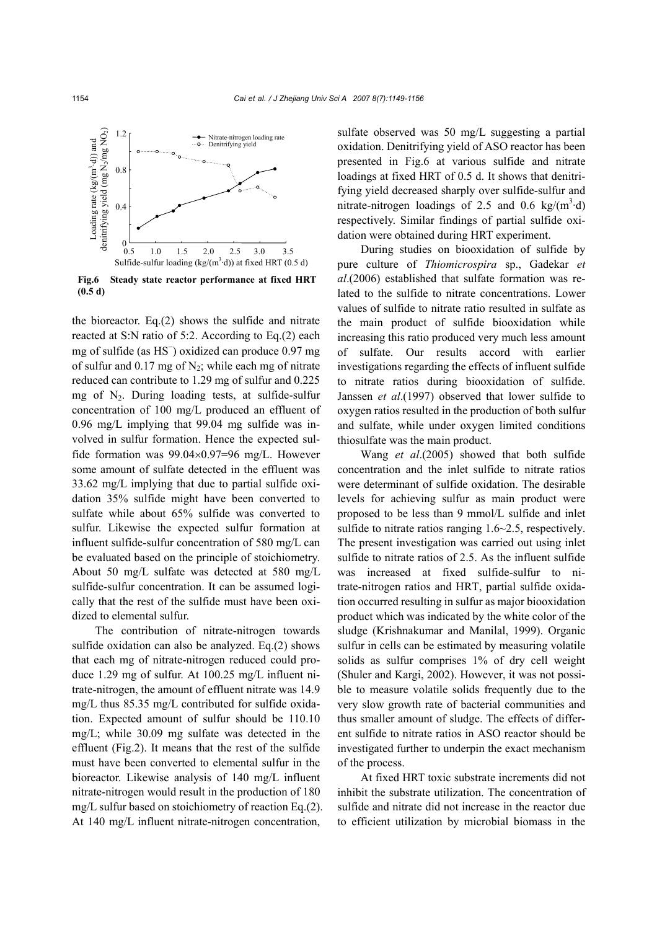

**Fig.6 Steady state reactor performance at fixed HRT (0.5 d)** 

the bioreactor. Eq.(2) shows the sulfide and nitrate reacted at S:N ratio of 5:2. According to Eq.(2) each mg of sulfide (as HS<sup>-</sup>) oxidized can produce 0.97 mg of sulfur and  $0.17$  mg of N<sub>2</sub>; while each mg of nitrate reduced can contribute to 1.29 mg of sulfur and 0.225 mg of  $N_2$ . During loading tests, at sulfide-sulfur concentration of 100 mg/L produced an effluent of 0.96 mg/L implying that 99.04 mg sulfide was involved in sulfur formation. Hence the expected sulfide formation was 99.04×0.97=96 mg/L. However some amount of sulfate detected in the effluent was 33.62 mg/L implying that due to partial sulfide oxidation 35% sulfide might have been converted to sulfate while about 65% sulfide was converted to sulfur. Likewise the expected sulfur formation at influent sulfide-sulfur concentration of 580 mg/L can be evaluated based on the principle of stoichiometry. About 50 mg/L sulfate was detected at 580 mg/L sulfide-sulfur concentration. It can be assumed logically that the rest of the sulfide must have been oxidized to elemental sulfur.

The contribution of nitrate-nitrogen towards sulfide oxidation can also be analyzed. Eq.(2) shows that each mg of nitrate-nitrogen reduced could produce 1.29 mg of sulfur. At 100.25 mg/L influent nitrate-nitrogen, the amount of effluent nitrate was 14.9 mg/L thus 85.35 mg/L contributed for sulfide oxidation. Expected amount of sulfur should be 110.10 mg/L; while 30.09 mg sulfate was detected in the effluent (Fig.2). It means that the rest of the sulfide must have been converted to elemental sulfur in the bioreactor. Likewise analysis of 140 mg/L influent nitrate-nitrogen would result in the production of 180 mg/L sulfur based on stoichiometry of reaction Eq.(2). At 140 mg/L influent nitrate-nitrogen concentration,

sulfate observed was 50 mg/L suggesting a partial oxidation. Denitrifying yield of ASO reactor has been presented in Fig.6 at various sulfide and nitrate loadings at fixed HRT of 0.5 d. It shows that denitrifying yield decreased sharply over sulfide-sulfur and nitrate-nitrogen loadings of 2.5 and 0.6 kg/ $(m^3 \cdot d)$ respectively. Similar findings of partial sulfide oxidation were obtained during HRT experiment.

During studies on biooxidation of sulfide by pure culture of *Thiomicrospira* sp., Gadekar *et al*.(2006) established that sulfate formation was related to the sulfide to nitrate concentrations. Lower values of sulfide to nitrate ratio resulted in sulfate as the main product of sulfide biooxidation while increasing this ratio produced very much less amount of sulfate. Our results accord with earlier investigations regarding the effects of influent sulfide to nitrate ratios during biooxidation of sulfide. Janssen *et al*.(1997) observed that lower sulfide to oxygen ratios resulted in the production of both sulfur and sulfate, while under oxygen limited conditions thiosulfate was the main product.

Wang *et al*.(2005) showed that both sulfide concentration and the inlet sulfide to nitrate ratios were determinant of sulfide oxidation. The desirable levels for achieving sulfur as main product were proposed to be less than 9 mmol/L sulfide and inlet sulfide to nitrate ratios ranging 1.6~2.5, respectively. The present investigation was carried out using inlet sulfide to nitrate ratios of 2.5. As the influent sulfide was increased at fixed sulfide-sulfur to nitrate-nitrogen ratios and HRT, partial sulfide oxidation occurred resulting in sulfur as major biooxidation product which was indicated by the white color of the sludge (Krishnakumar and Manilal, 1999). Organic sulfur in cells can be estimated by measuring volatile solids as sulfur comprises 1% of dry cell weight (Shuler and Kargi, 2002). However, it was not possible to measure volatile solids frequently due to the very slow growth rate of bacterial communities and thus smaller amount of sludge. The effects of different sulfide to nitrate ratios in ASO reactor should be investigated further to underpin the exact mechanism of the process.

At fixed HRT toxic substrate increments did not inhibit the substrate utilization. The concentration of sulfide and nitrate did not increase in the reactor due to efficient utilization by microbial biomass in the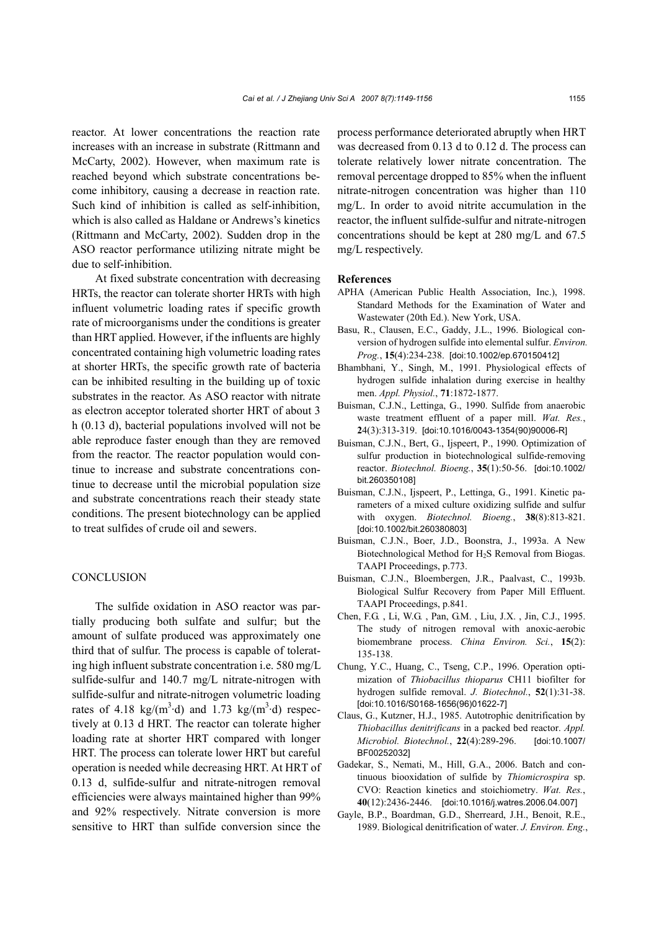reactor. At lower concentrations the reaction rate increases with an increase in substrate (Rittmann and McCarty, 2002). However, when maximum rate is reached beyond which substrate concentrations become inhibitory, causing a decrease in reaction rate. Such kind of inhibition is called as self-inhibition, which is also called as Haldane or Andrews's kinetics (Rittmann and McCarty, 2002). Sudden drop in the ASO reactor performance utilizing nitrate might be due to self-inhibition.

At fixed substrate concentration with decreasing HRTs, the reactor can tolerate shorter HRTs with high influent volumetric loading rates if specific growth rate of microorganisms under the conditions is greater than HRT applied. However, if the influents are highly concentrated containing high volumetric loading rates at shorter HRTs, the specific growth rate of bacteria can be inhibited resulting in the building up of toxic substrates in the reactor. As ASO reactor with nitrate as electron acceptor tolerated shorter HRT of about 3 h (0.13 d), bacterial populations involved will not be able reproduce faster enough than they are removed from the reactor. The reactor population would continue to increase and substrate concentrations continue to decrease until the microbial population size and substrate concentrations reach their steady state conditions. The present biotechnology can be applied to treat sulfides of crude oil and sewers.

## **CONCLUSION**

The sulfide oxidation in ASO reactor was partially producing both sulfate and sulfur; but the amount of sulfate produced was approximately one third that of sulfur. The process is capable of tolerating high influent substrate concentration i.e. 580 mg/L sulfide-sulfur and 140.7 mg/L nitrate-nitrogen with sulfide-sulfur and nitrate-nitrogen volumetric loading rates of 4.18 kg/( $m^3$ ·d) and 1.73 kg/( $m^3$ ·d) respectively at 0.13 d HRT. The reactor can tolerate higher loading rate at shorter HRT compared with longer HRT. The process can tolerate lower HRT but careful operation is needed while decreasing HRT. At HRT of 0.13 d, sulfide-sulfur and nitrate-nitrogen removal efficiencies were always maintained higher than 99% and 92% respectively. Nitrate conversion is more sensitive to HRT than sulfide conversion since the process performance deteriorated abruptly when HRT was decreased from 0.13 d to 0.12 d. The process can tolerate relatively lower nitrate concentration. The removal percentage dropped to 85% when the influent nitrate-nitrogen concentration was higher than 110 mg/L. In order to avoid nitrite accumulation in the reactor, the influent sulfide-sulfur and nitrate-nitrogen concentrations should be kept at 280 mg/L and 67.5 mg/L respectively.

#### **References**

- APHA (American Public Health Association, Inc.), 1998. Standard Methods for the Examination of Water and Wastewater (20th Ed.). New York, USA.
- Basu, R., Clausen, E.C., Gaddy, J.L., 1996. Biological conversion of hydrogen sulfide into elemental sulfur. *Environ. Prog.*, **15**(4):234-238. [doi:10.1002/ep.670150412]
- Bhambhani, Y., Singh, M., 1991. Physiological effects of hydrogen sulfide inhalation during exercise in healthy men. *Appl. Physiol.*, **71**:1872-1877.
- Buisman, C.J.N., Lettinga, G., 1990. Sulfide from anaerobic waste treatment effluent of a paper mill. *Wat. Res.*, **2**4(3):313-319. [doi:10.1016/0043-1354(90)90006-R]
- Buisman, C.J.N., Bert, G., Ijspeert, P., 1990. Optimization of sulfur production in biotechnological sulfide-removing reactor. *Biotechnol. Bioeng.*, **35**(1):50-56. [doi:10.1002/ bit.260350108]
- Buisman, C.J.N., Ijspeert, P., Lettinga, G., 1991. Kinetic parameters of a mixed culture oxidizing sulfide and sulfur with oxygen. *Biotechnol. Bioeng.*, **38**(8):813-821. [doi:10.1002/bit.260380803]
- Buisman, C.J.N., Boer, J.D., Boonstra, J., 1993a. A New Biotechnological Method for H2S Removal from Biogas. TAAPI Proceedings, p.773.
- Buisman, C.J.N., Bloembergen, J.R., Paalvast, C., 1993b. Biological Sulfur Recovery from Paper Mill Effluent. TAAPI Proceedings, p.841.
- Chen, F.G. , Li, W.G. , Pan, G.M. , Liu, J.X. , Jin, C.J., 1995. The study of nitrogen removal with anoxic-aerobic biomembrane process. *China Environ. Sci.*, **15**(2): 135-138.
- Chung, Y.C., Huang, C., Tseng, C.P., 1996. Operation optimization of *Thiobacillus thioparus* CH11 biofilter for hydrogen sulfide removal. *J. Biotechnol.*, **52**(1):31-38. [doi:10.1016/S0168-1656(96)01622-7]
- Claus, G., Kutzner, H.J., 1985. Autotrophic denitrification by *Thiobacillus denitrificans* in a packed bed reactor. *Appl. Microbiol. Biotechnol.*, **22**(4):289-296. [doi:10.1007/ BF00252032]
- Gadekar, S., Nemati, M., Hill, G.A., 2006. Batch and continuous biooxidation of sulfide by *Thiomicrospira* sp. CVO: Reaction kinetics and stoichiometry. *Wat. Res.*, **40**(12):2436-2446. [doi:10.1016/j.watres.2006.04.007]
- Gayle, B.P., Boardman, G.D., Sherreard, J.H., Benoit, R.E., 1989. Biological denitrification of water. *J. Environ. Eng.*,